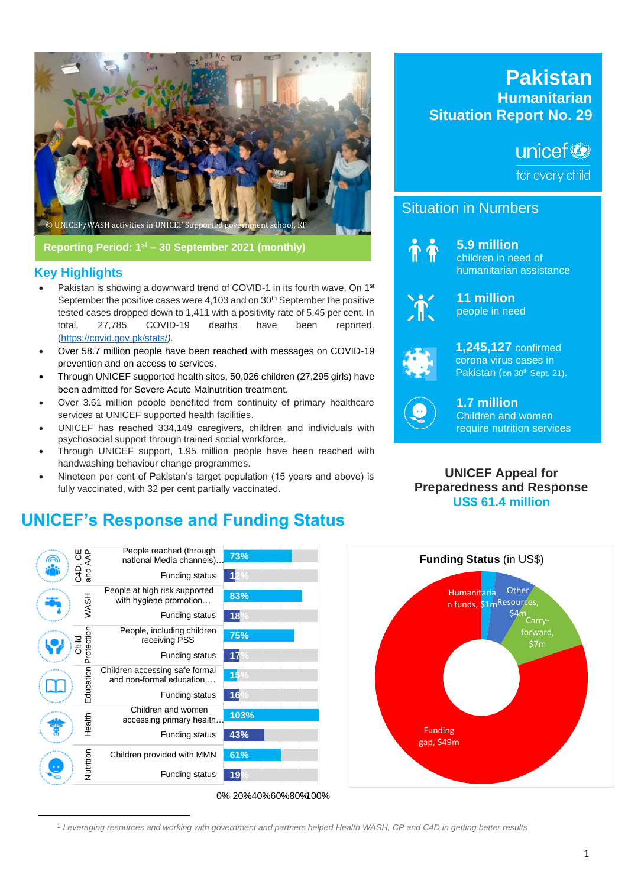

**Reporting Period: 1st – 30 September 2021 (monthly)**

### **Key Highlights**

- Pakistan is showing a downward trend of COVID-1 in its fourth wave. On 1<sup>st</sup> September the positive cases were 4,103 and on 30<sup>th</sup> September the positive tested cases dropped down to 1,411 with a positivity rate of 5.45 per cent. In total, 27,785 COVID-19 deaths have been reported. [\(https://covid.gov.pk/stats/](https://covid.gov.pk/stats/)*).*
- Over 58.7 million people have been reached with messages on COVID-19 prevention and on access to services.
- Through UNICEF supported health sites, 50,026 children (27,295 girls) have been admitted for Severe Acute Malnutrition treatment.
- Over 3.61 million people benefited from continuity of primary healthcare services at UNICEF supported health facilities.
- UNICEF has reached 334,149 caregivers, children and individuals with psychosocial support through trained social workforce.
- Through UNICEF support, 1.95 million people have been reached with handwashing behaviour change programmes.
- Nineteen per cent of Pakistan's target population (15 years and above) is fully vaccinated, with 32 per cent partially vaccinated.

# **UNICEF's Response and Funding Status**



**Pakistan Humanitarian Situation Report No. 29**

# unicef®

for every child

### Situation in Numbers



**5.9 million** children in need of humanitarian assistance



**11 million** people in need



**1,245,127** confirmed corona virus cases in Pakistan (on 30<sup>th</sup> Sept. 21).



**1.7 million** Children and women require nutrition services

**UNICEF Appeal for Preparedness and Response US\$ 61.4 million**



1 *Leveraging resources and working with government and partners helped Health WASH, CP and C4D in getting better results*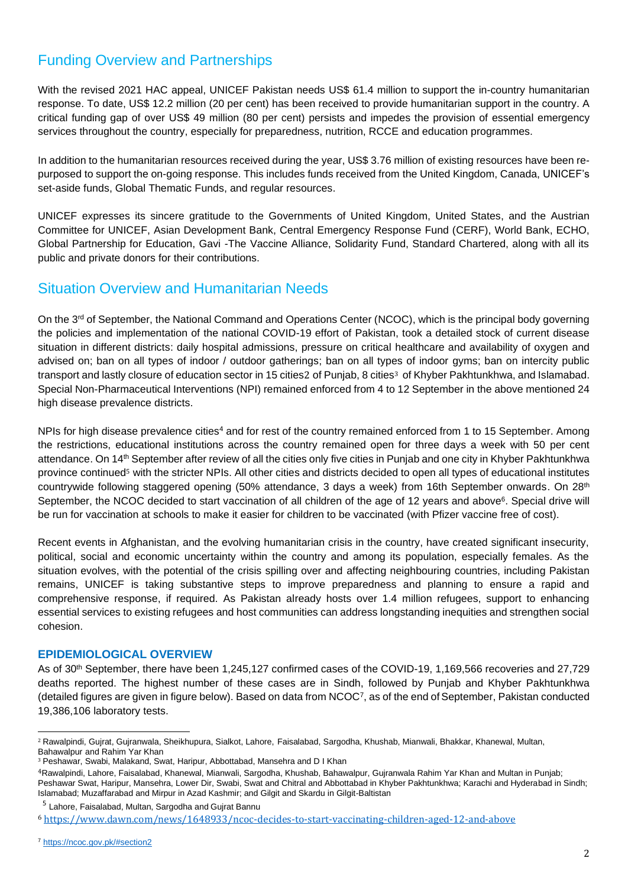# Funding Overview and Partnerships

With the revised 2021 HAC appeal, UNICEF Pakistan needs US\$ 61.4 million to support the in-country humanitarian response. To date, US\$ 12.2 million (20 per cent) has been received to provide humanitarian support in the country. A critical funding gap of over US\$ 49 million (80 per cent) persists and impedes the provision of essential emergency services throughout the country, especially for preparedness, nutrition, RCCE and education programmes.

In addition to the humanitarian resources received during the year, US\$ 3.76 million of existing resources have been repurposed to support the on-going response. This includes funds received from the United Kingdom, Canada, UNICEF's set-aside funds, Global Thematic Funds, and regular resources.

UNICEF expresses its sincere gratitude to the Governments of United Kingdom, United States, and the Austrian Committee for UNICEF, Asian Development Bank, Central Emergency Response Fund (CERF), World Bank, ECHO, Global Partnership for Education, Gavi -The Vaccine Alliance, Solidarity Fund, Standard Chartered, along with all its public and private donors for their contributions.

# Situation Overview and Humanitarian Needs

On the 3<sup>rd</sup> of September, the National Command and Operations Center (NCOC), which is the principal body governing the policies and implementation of the national COVID-19 effort of Pakistan, took a detailed stock of current disease situation in different districts: daily hospital admissions, pressure on critical healthcare and availability of oxygen and advised on; ban on all types of indoor / outdoor gatherings; ban on all types of indoor gyms; ban on intercity public transport and lastly closure of education sector in 15 cities2 of Punjab, 8 cities<sup>3</sup> of Khyber Pakhtunkhwa, and Islamabad. Special Non-Pharmaceutical Interventions (NPI) remained enforced from 4 to 12 September in the above mentioned 24 high disease prevalence districts.

NPIs for high disease prevalence cities<sup>4</sup> and for rest of the country remained enforced from 1 to 15 September. Among the restrictions, educational institutions across the country remained open for three days a week with 50 per cent attendance. On 14th September after review of all the cities only five cities in Punjab and one city in Khyber Pakhtunkhwa province continued<sup>5</sup> with the stricter NPIs. All other cities and districts decided to open all types of educational institutes countrywide following staggered opening (50% attendance, 3 days a week) from 16th September onwards. On 28<sup>th</sup> September, the NCOC decided to start vaccination of all children of the age of 12 years and above<sup>6</sup>. Special drive will be run for vaccination at schools to make it easier for children to be vaccinated (with Pfizer vaccine free of cost).

Recent events in Afghanistan, and the evolving humanitarian crisis in the country, have created significant insecurity, political, social and economic uncertainty within the country and among its population, especially females. As the situation evolves, with the potential of the crisis spilling over and affecting neighbouring countries, including Pakistan remains, UNICEF is taking substantive steps to improve preparedness and planning to ensure a rapid and comprehensive response, if required. As Pakistan already hosts over 1.4 million refugees, support to enhancing essential services to existing refugees and host communities can address longstanding inequities and strengthen social cohesion.

### **EPIDEMIOLOGICAL OVERVIEW**

As of 30<sup>th</sup> September, there have been 1,245,127 confirmed cases of the COVID-19, 1,169,566 recoveries and 27,729 deaths reported. The highest number of these cases are in Sindh, followed by Punjab and Khyber Pakhtunkhwa (detailed figures are given in figure below). Based on data from NCOC7, as of the end of September, Pakistan conducted 19,386,106 laboratory tests.

<sup>2</sup> Rawalpindi, Gujrat, Gujranwala, Sheikhupura, Sialkot, Lahore, Faisalabad, Sargodha, Khushab, Mianwali, Bhakkar, Khanewal, Multan, Bahawalpur and Rahim Yar Khan

<sup>3</sup> Peshawar, Swabi, Malakand, Swat, Haripur, Abbottabad, Mansehra and D I Khan

<sup>4</sup>Rawalpindi, Lahore, Faisalabad, Khanewal, Mianwali, Sargodha, Khushab, Bahawalpur, Gujranwala Rahim Yar Khan and Multan in Punjab; Peshawar Swat, Haripur, Mansehra, Lower Dir, Swabi, Swat and Chitral and Abbottabad in Khyber Pakhtunkhwa; Karachi and Hyderabad in Sindh; Islamabad; Muzaffarabad and Mirpur in Azad Kashmir; and Gilgit and Skardu in Gilgit-Baltistan

<sup>&</sup>lt;sup>5</sup> Lahore, Faisalabad, Multan, Sargodha and Gujrat Bannu

<sup>6</sup> <https://www.dawn.com/news/1648933/ncoc-decides-to-start-vaccinating-children-aged-12-and-above>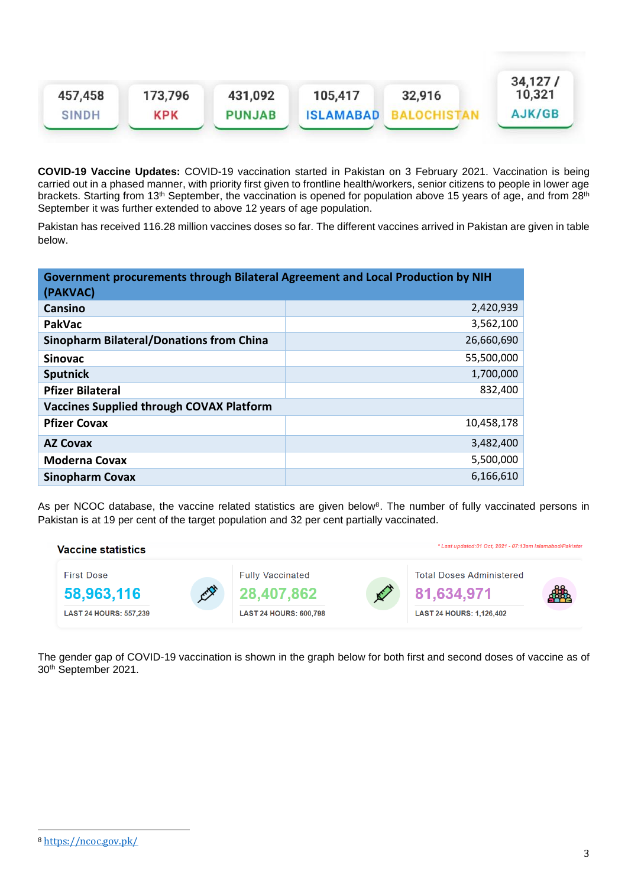| 457,458      | 173,796 | 431,092       | 105,417          | 32,916 | 34,127/<br>10,321 |
|--------------|---------|---------------|------------------|--------|-------------------|
| <b>SINDH</b> | KPK     | <b>PUNJAB</b> | <b>ISLAMABAD</b> |        | AJK/GB            |

**COVID-19 Vaccine Updates:** COVID-19 vaccination started in Pakistan on 3 February 2021. Vaccination is being carried out in a phased manner, with priority first given to frontline health/workers, senior citizens to people in lower age brackets. Starting from 13<sup>th</sup> September, the vaccination is opened for population above 15 years of age, and from 28<sup>th</sup> September it was further extended to above 12 years of age population.

Pakistan has received 116.28 million vaccines doses so far. The different vaccines arrived in Pakistan are given in table below.

| Government procurements through Bilateral Agreement and Local Production by NIH |            |  |  |  |  |  |
|---------------------------------------------------------------------------------|------------|--|--|--|--|--|
| (PAKVAC)                                                                        |            |  |  |  |  |  |
| Cansino                                                                         | 2,420,939  |  |  |  |  |  |
| <b>PakVac</b>                                                                   | 3,562,100  |  |  |  |  |  |
| <b>Sinopharm Bilateral/Donations from China</b>                                 | 26,660,690 |  |  |  |  |  |
| <b>Sinovac</b>                                                                  | 55,500,000 |  |  |  |  |  |
| <b>Sputnick</b>                                                                 | 1,700,000  |  |  |  |  |  |
| <b>Pfizer Bilateral</b>                                                         | 832,400    |  |  |  |  |  |
| <b>Vaccines Supplied through COVAX Platform</b>                                 |            |  |  |  |  |  |
| <b>Pfizer Covax</b>                                                             | 10,458,178 |  |  |  |  |  |
| <b>AZ Covax</b>                                                                 | 3,482,400  |  |  |  |  |  |
| <b>Moderna Covax</b>                                                            | 5,500,000  |  |  |  |  |  |
| <b>Sinopharm Covax</b>                                                          | 6,166,610  |  |  |  |  |  |

As per NCOC database, the vaccine related statistics are given below<sup>8</sup>. The number of fully vaccinated persons in Pakistan is at 19 per cent of the target population and 32 per cent partially vaccinated.



The gender gap of COVID-19 vaccination is shown in the graph below for both first and second doses of vaccine as of 30th September 2021.

<sup>8</sup> <https://ncoc.gov.pk/>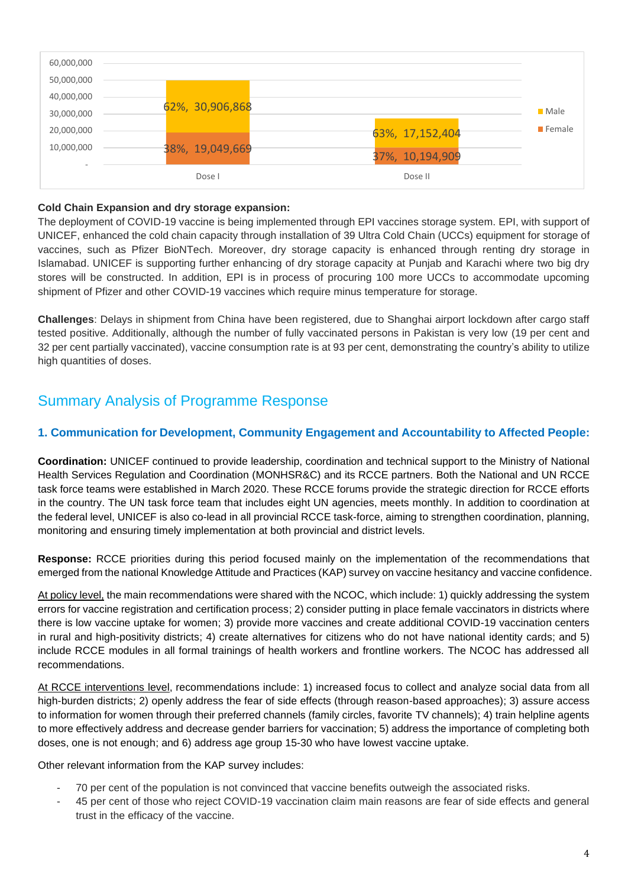| 60,000,000 |                   |             |
|------------|-------------------|-------------|
| 50,000,000 |                   |             |
| 40,000,000 |                   |             |
| 30,000,000 | 62%, 30,906,868   | <b>Male</b> |
| 20,000,000 | 63%, 17,152,404   | Female      |
| 10,000,000 | 38%, 19,049,669   |             |
|            | 37%, 10,194,909   |             |
|            | Dose I<br>Dose II |             |

#### **Cold Chain Expansion and dry storage expansion:**

The deployment of COVID-19 vaccine is being implemented through EPI vaccines storage system. EPI, with support of UNICEF, enhanced the cold chain capacity through installation of 39 Ultra Cold Chain (UCCs) equipment for storage of vaccines, such as Pfizer BioNTech. Moreover, dry storage capacity is enhanced through renting dry storage in Islamabad. UNICEF is supporting further enhancing of dry storage capacity at Punjab and Karachi where two big dry stores will be constructed. In addition, EPI is in process of procuring 100 more UCCs to accommodate upcoming shipment of Pfizer and other COVID-19 vaccines which require minus temperature for storage.

**Challenges**: Delays in shipment from China have been registered, due to Shanghai airport lockdown after cargo staff tested positive. Additionally, although the number of fully vaccinated persons in Pakistan is very low (19 per cent and 32 per cent partially vaccinated), vaccine consumption rate is at 93 per cent, demonstrating the country's ability to utilize high quantities of doses.

# Summary Analysis of Programme Response

### **1. Communication for Development, Community Engagement and Accountability to Affected People:**

**Coordination:** UNICEF continued to provide leadership, coordination and technical support to the Ministry of National Health Services Regulation and Coordination (MONHSR&C) and its RCCE partners. Both the National and UN RCCE task force teams were established in March 2020. These RCCE forums provide the strategic direction for RCCE efforts in the country. The UN task force team that includes eight UN agencies, meets monthly. In addition to coordination at the federal level, UNICEF is also co-lead in all provincial RCCE task-force, aiming to strengthen coordination, planning, monitoring and ensuring timely implementation at both provincial and district levels.

**Response:** RCCE priorities during this period focused mainly on the implementation of the recommendations that emerged from the national Knowledge Attitude and Practices (KAP) survey on vaccine hesitancy and vaccine confidence.

At policy level, the main recommendations were shared with the NCOC, which include: 1) quickly addressing the system errors for vaccine registration and certification process; 2) consider putting in place female vaccinators in districts where there is low vaccine uptake for women; 3) provide more vaccines and create additional COVID-19 vaccination centers in rural and high-positivity districts; 4) create alternatives for citizens who do not have national identity cards; and 5) include RCCE modules in all formal trainings of health workers and frontline workers. The NCOC has addressed all recommendations.

At RCCE interventions level, recommendations include: 1) increased focus to collect and analyze social data from all high-burden districts; 2) openly address the fear of side effects (through reason-based approaches); 3) assure access to information for women through their preferred channels (family circles, favorite TV channels); 4) train helpline agents to more effectively address and decrease gender barriers for vaccination; 5) address the importance of completing both doses, one is not enough; and 6) address age group 15-30 who have lowest vaccine uptake.

Other relevant information from the KAP survey includes:

- 70 per cent of the population is not convinced that vaccine benefits outweigh the associated risks.
- 45 per cent of those who reject COVID-19 vaccination claim main reasons are fear of side effects and general trust in the efficacy of the vaccine.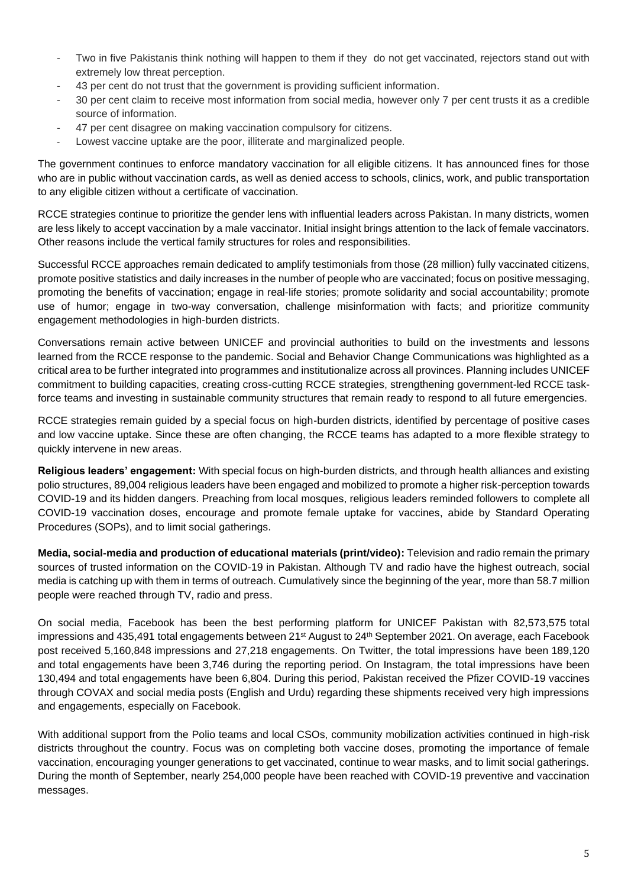- Two in five Pakistanis think nothing will happen to them if they do not get vaccinated, rejectors stand out with extremely low threat perception.
- 43 per cent do not trust that the government is providing sufficient information.
- 30 per cent claim to receive most information from social media, however only 7 per cent trusts it as a credible source of information.
- 47 per cent disagree on making vaccination compulsory for citizens.
- Lowest vaccine uptake are the poor, illiterate and marginalized people.

The government continues to enforce mandatory vaccination for all eligible citizens. It has announced fines for those who are in public without vaccination cards, as well as denied access to schools, clinics, work, and public transportation to any eligible citizen without a certificate of vaccination.

RCCE strategies continue to prioritize the gender lens with influential leaders across Pakistan. In many districts, women are less likely to accept vaccination by a male vaccinator. Initial insight brings attention to the lack of female vaccinators. Other reasons include the vertical family structures for roles and responsibilities.

Successful RCCE approaches remain dedicated to amplify testimonials from those (28 million) fully vaccinated citizens, promote positive statistics and daily increases in the number of people who are vaccinated; focus on positive messaging, promoting the benefits of vaccination; engage in real-life stories; promote solidarity and social accountability; promote use of humor; engage in two-way conversation, challenge misinformation with facts; and prioritize community engagement methodologies in high-burden districts.

Conversations remain active between UNICEF and provincial authorities to build on the investments and lessons learned from the RCCE response to the pandemic. Social and Behavior Change Communications was highlighted as a critical area to be further integrated into programmes and institutionalize across all provinces. Planning includes UNICEF commitment to building capacities, creating cross-cutting RCCE strategies, strengthening government-led RCCE taskforce teams and investing in sustainable community structures that remain ready to respond to all future emergencies.

RCCE strategies remain guided by a special focus on high-burden districts, identified by percentage of positive cases and low vaccine uptake. Since these are often changing, the RCCE teams has adapted to a more flexible strategy to quickly intervene in new areas.

**Religious leaders' engagement:** With special focus on high-burden districts, and through health alliances and existing polio structures, 89,004 religious leaders have been engaged and mobilized to promote a higher risk-perception towards COVID-19 and its hidden dangers. Preaching from local mosques, religious leaders reminded followers to complete all COVID-19 vaccination doses, encourage and promote female uptake for vaccines, abide by Standard Operating Procedures (SOPs), and to limit social gatherings.

**Media, social-media and production of educational materials (print/video):** Television and radio remain the primary sources of trusted information on the COVID-19 in Pakistan. Although TV and radio have the highest outreach, social media is catching up with them in terms of outreach. Cumulatively since the beginning of the year, more than 58.7 million people were reached through TV, radio and press.

On social media, Facebook has been the best performing platform for UNICEF Pakistan with 82,573,575 total impressions and 435,491 total engagements between 21<sup>st</sup> August to 24<sup>th</sup> September 2021. On average, each Facebook post received 5,160,848 impressions and 27,218 engagements. On Twitter, the total impressions have been 189,120 and total engagements have been 3,746 during the reporting period. On Instagram, the total impressions have been 130,494 and total engagements have been 6,804. During this period, Pakistan received the Pfizer COVID-19 vaccines through COVAX and social media posts (English and Urdu) regarding these shipments received very high impressions and engagements, especially on Facebook.

With additional support from the Polio teams and local CSOs, community mobilization activities continued in high-risk districts throughout the country. Focus was on completing both vaccine doses, promoting the importance of female vaccination, encouraging younger generations to get vaccinated, continue to wear masks, and to limit social gatherings. During the month of September, nearly 254,000 people have been reached with COVID-19 preventive and vaccination messages.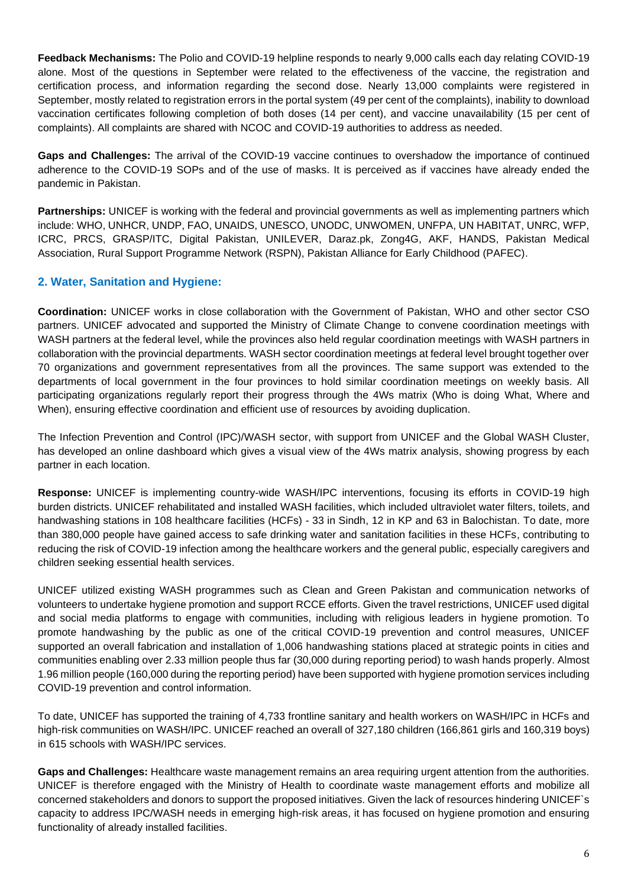**Feedback Mechanisms:** The Polio and COVID-19 helpline responds to nearly 9,000 calls each day relating COVID-19 alone. Most of the questions in September were related to the effectiveness of the vaccine, the registration and certification process, and information regarding the second dose. Nearly 13,000 complaints were registered in September, mostly related to registration errors in the portal system (49 per cent of the complaints), inability to download vaccination certificates following completion of both doses (14 per cent), and vaccine unavailability (15 per cent of complaints). All complaints are shared with NCOC and COVID-19 authorities to address as needed.

**Gaps and Challenges:** The arrival of the COVID-19 vaccine continues to overshadow the importance of continued adherence to the COVID-19 SOPs and of the use of masks. It is perceived as if vaccines have already ended the pandemic in Pakistan.

**Partnerships:** UNICEF is working with the federal and provincial governments as well as implementing partners which include: WHO, UNHCR, UNDP, FAO, UNAIDS, UNESCO, UNODC, UNWOMEN, UNFPA, UN HABITAT, UNRC, WFP, ICRC, PRCS, GRASP/ITC, Digital Pakistan, UNILEVER, Daraz.pk, Zong4G, AKF, HANDS, Pakistan Medical Association, Rural Support Programme Network (RSPN), Pakistan Alliance for Early Childhood (PAFEC).

### **2. Water, Sanitation and Hygiene:**

**Coordination:** UNICEF works in close collaboration with the Government of Pakistan, WHO and other sector CSO partners. UNICEF advocated and supported the Ministry of Climate Change to convene coordination meetings with WASH partners at the federal level, while the provinces also held regular coordination meetings with WASH partners in collaboration with the provincial departments. WASH sector coordination meetings at federal level brought together over 70 organizations and government representatives from all the provinces. The same support was extended to the departments of local government in the four provinces to hold similar coordination meetings on weekly basis. All participating organizations regularly report their progress through the 4Ws matrix (Who is doing What, Where and When), ensuring effective coordination and efficient use of resources by avoiding duplication.

The Infection Prevention and Control (IPC)/WASH sector, with support from UNICEF and the Global WASH Cluster, has developed an online dashboard which gives a visual view of the 4Ws matrix analysis, showing progress by each partner in each location.

**Response:** UNICEF is implementing country-wide WASH/IPC interventions, focusing its efforts in COVID-19 high burden districts. UNICEF rehabilitated and installed WASH facilities, which included ultraviolet water filters, toilets, and handwashing stations in 108 healthcare facilities (HCFs) - 33 in Sindh, 12 in KP and 63 in Balochistan. To date, more than 380,000 people have gained access to safe drinking water and sanitation facilities in these HCFs, contributing to reducing the risk of COVID-19 infection among the healthcare workers and the general public, especially caregivers and children seeking essential health services.

UNICEF utilized existing WASH programmes such as Clean and Green Pakistan and communication networks of volunteers to undertake hygiene promotion and support RCCE efforts. Given the travel restrictions, UNICEF used digital and social media platforms to engage with communities, including with religious leaders in hygiene promotion. To promote handwashing by the public as one of the critical COVID-19 prevention and control measures, UNICEF supported an overall fabrication and installation of 1,006 handwashing stations placed at strategic points in cities and communities enabling over 2.33 million people thus far (30,000 during reporting period) to wash hands properly. Almost 1.96 million people (160,000 during the reporting period) have been supported with hygiene promotion services including COVID-19 prevention and control information.

To date, UNICEF has supported the training of 4,733 frontline sanitary and health workers on WASH/IPC in HCFs and high-risk communities on WASH/IPC. UNICEF reached an overall of 327,180 children (166,861 girls and 160,319 boys) in 615 schools with WASH/IPC services.

**Gaps and Challenges:** Healthcare waste management remains an area requiring urgent attention from the authorities. UNICEF is therefore engaged with the Ministry of Health to coordinate waste management efforts and mobilize all concerned stakeholders and donors to support the proposed initiatives. Given the lack of resources hindering UNICEF`s capacity to address IPC/WASH needs in emerging high-risk areas, it has focused on hygiene promotion and ensuring functionality of already installed facilities.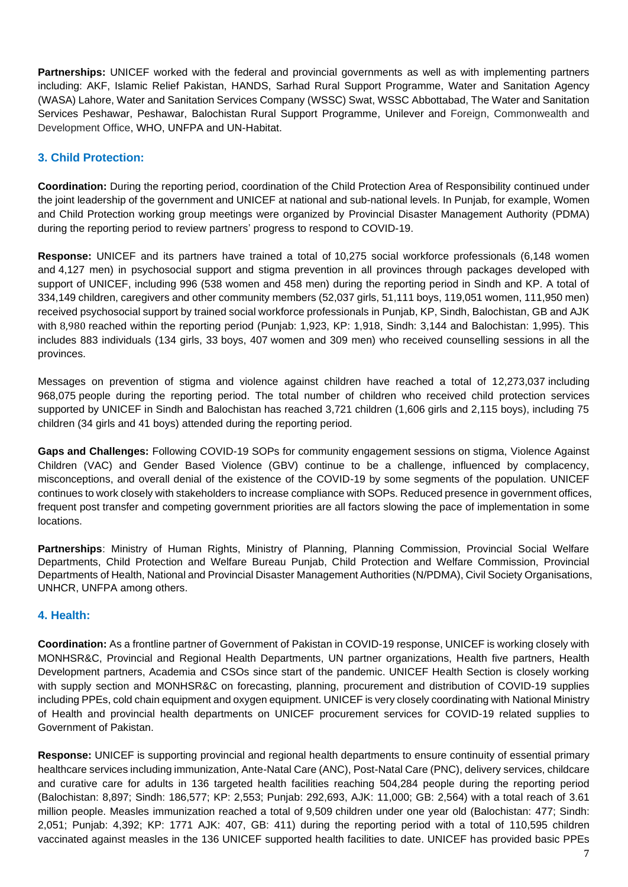**Partnerships:** UNICEF worked with the federal and provincial governments as well as with implementing partners including: AKF, Islamic Relief Pakistan, HANDS, Sarhad Rural Support Programme, Water and Sanitation Agency (WASA) Lahore, Water and Sanitation Services Company (WSSC) Swat, WSSC Abbottabad, The Water and Sanitation Services Peshawar, Peshawar, Balochistan Rural Support Programme, Unilever and Foreign, Commonwealth and Development Office, WHO, UNFPA and UN-Habitat.

### **3. Child Protection:**

**Coordination:** During the reporting period, coordination of the Child Protection Area of Responsibility continued under the joint leadership of the government and UNICEF at national and sub-national levels. In Punjab, for example, Women and Child Protection working group meetings were organized by Provincial Disaster Management Authority (PDMA) during the reporting period to review partners' progress to respond to COVID-19.

**Response:** UNICEF and its partners have trained a total of 10,275 social workforce professionals (6,148 women and 4,127 men) in psychosocial support and stigma prevention in all provinces through packages developed with support of UNICEF, including 996 (538 women and 458 men) during the reporting period in Sindh and KP. A total of 334,149 children, caregivers and other community members (52,037 girls, 51,111 boys, 119,051 women, 111,950 men) received psychosocial support by trained social workforce professionals in Punjab, KP, Sindh, Balochistan, GB and AJK with 8,980 reached within the reporting period (Punjab: 1,923, KP: 1,918, Sindh: 3,144 and Balochistan: 1,995). This includes 883 individuals (134 girls, 33 boys, 407 women and 309 men) who received counselling sessions in all the provinces.

Messages on prevention of stigma and violence against children have reached a total of 12,273,037 including 968,075 people during the reporting period. The total number of children who received child protection services supported by UNICEF in Sindh and Balochistan has reached 3,721 children (1,606 girls and 2,115 boys), including 75 children (34 girls and 41 boys) attended during the reporting period.

**Gaps and Challenges:** Following COVID-19 SOPs for community engagement sessions on stigma, Violence Against Children (VAC) and Gender Based Violence (GBV) continue to be a challenge, influenced by complacency, misconceptions, and overall denial of the existence of the COVID-19 by some segments of the population. UNICEF continues to work closely with stakeholders to increase compliance with SOPs. Reduced presence in government offices, frequent post transfer and competing government priorities are all factors slowing the pace of implementation in some locations.

**Partnerships**: Ministry of Human Rights, Ministry of Planning, Planning Commission, Provincial Social Welfare Departments, Child Protection and Welfare Bureau Punjab, Child Protection and Welfare Commission, Provincial Departments of Health, National and Provincial Disaster Management Authorities (N/PDMA), Civil Society Organisations, UNHCR, UNFPA among others.

### **4. Health:**

**Coordination:** As a frontline partner of Government of Pakistan in COVID-19 response, UNICEF is working closely with MONHSR&C, Provincial and Regional Health Departments, UN partner organizations, Health five partners, Health Development partners, Academia and CSOs since start of the pandemic. UNICEF Health Section is closely working with supply section and MONHSR&C on forecasting, planning, procurement and distribution of COVID-19 supplies including PPEs, cold chain equipment and oxygen equipment. UNICEF is very closely coordinating with National Ministry of Health and provincial health departments on UNICEF procurement services for COVID-19 related supplies to Government of Pakistan.

**Response:** UNICEF is supporting provincial and regional health departments to ensure continuity of essential primary healthcare services including immunization, Ante-Natal Care (ANC), Post-Natal Care (PNC), delivery services, childcare and curative care for adults in 136 targeted health facilities reaching 504,284 people during the reporting period (Balochistan: 8,897; Sindh: 186,577; KP: 2,553; Punjab: 292,693, AJK: 11,000; GB: 2,564) with a total reach of 3.61 million people. Measles immunization reached a total of 9,509 children under one year old (Balochistan: 477; Sindh: 2,051; Punjab: 4,392; KP: 1771 AJK: 407, GB: 411) during the reporting period with a total of 110,595 children vaccinated against measles in the 136 UNICEF supported health facilities to date. UNICEF has provided basic PPEs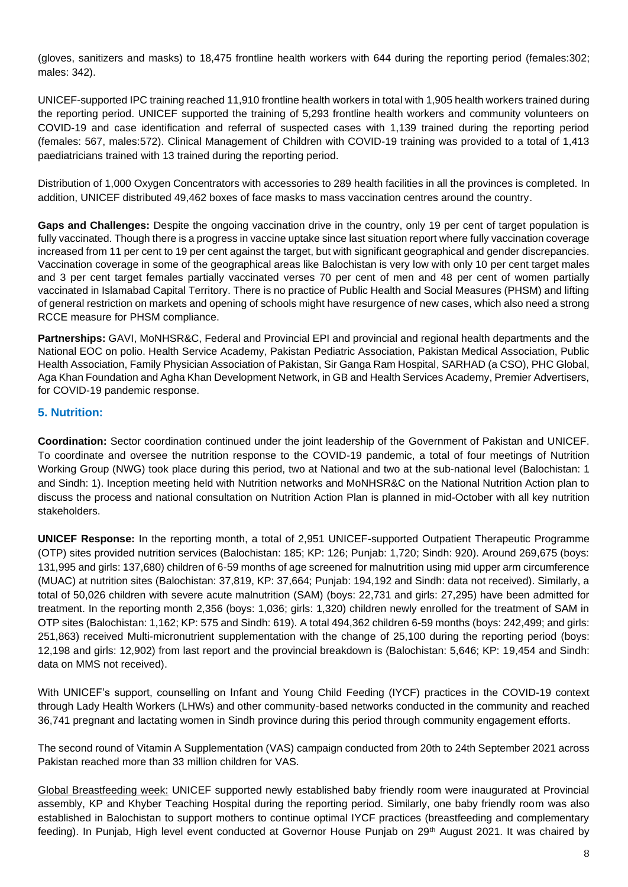(gloves, sanitizers and masks) to 18,475 frontline health workers with 644 during the reporting period (females:302; males: 342).

UNICEF-supported IPC training reached 11,910 frontline health workers in total with 1,905 health workers trained during the reporting period. UNICEF supported the training of 5,293 frontline health workers and community volunteers on COVID-19 and case identification and referral of suspected cases with 1,139 trained during the reporting period (females: 567, males:572). Clinical Management of Children with COVID-19 training was provided to a total of 1,413 paediatricians trained with 13 trained during the reporting period.

Distribution of 1,000 Oxygen Concentrators with accessories to 289 health facilities in all the provinces is completed. In addition, UNICEF distributed 49,462 boxes of face masks to mass vaccination centres around the country.

**Gaps and Challenges:** Despite the ongoing vaccination drive in the country, only 19 per cent of target population is fully vaccinated. Though there is a progress in vaccine uptake since last situation report where fully vaccination coverage increased from 11 per cent to 19 per cent against the target, but with significant geographical and gender discrepancies. Vaccination coverage in some of the geographical areas like Balochistan is very low with only 10 per cent target males and 3 per cent target females partially vaccinated verses 70 per cent of men and 48 per cent of women partially vaccinated in Islamabad Capital Territory. There is no practice of Public Health and Social Measures (PHSM) and lifting of general restriction on markets and opening of schools might have resurgence of new cases, which also need a strong RCCE measure for PHSM compliance.

**Partnerships:** GAVI, MoNHSR&C, Federal and Provincial EPI and provincial and regional health departments and the National EOC on polio. Health Service Academy, Pakistan Pediatric Association, Pakistan Medical Association, Public Health Association, Family Physician Association of Pakistan, Sir Ganga Ram Hospital, SARHAD (a CSO), PHC Global, Aga Khan Foundation and Agha Khan Development Network, in GB and Health Services Academy, Premier Advertisers, for COVID-19 pandemic response.

### **5. Nutrition:**

**Coordination:** Sector coordination continued under the joint leadership of the Government of Pakistan and UNICEF. To coordinate and oversee the nutrition response to the COVID-19 pandemic, a total of four meetings of Nutrition Working Group (NWG) took place during this period, two at National and two at the sub-national level (Balochistan: 1 and Sindh: 1). Inception meeting held with Nutrition networks and MoNHSR&C on the National Nutrition Action plan to discuss the process and national consultation on Nutrition Action Plan is planned in mid-October with all key nutrition stakeholders.

**UNICEF Response:** In the reporting month, a total of 2,951 UNICEF-supported Outpatient Therapeutic Programme (OTP) sites provided nutrition services (Balochistan: 185; KP: 126; Punjab: 1,720; Sindh: 920). Around 269,675 (boys: 131,995 and girls: 137,680) children of 6-59 months of age screened for malnutrition using mid upper arm circumference (MUAC) at nutrition sites (Balochistan: 37,819, KP: 37,664; Punjab: 194,192 and Sindh: data not received). Similarly, a total of 50,026 children with severe acute malnutrition (SAM) (boys: 22,731 and girls: 27,295) have been admitted for treatment. In the reporting month 2,356 (boys: 1,036; girls: 1,320) children newly enrolled for the treatment of SAM in OTP sites (Balochistan: 1,162; KP: 575 and Sindh: 619). A total 494,362 children 6-59 months (boys: 242,499; and girls: 251,863) received Multi-micronutrient supplementation with the change of 25,100 during the reporting period (boys: 12,198 and girls: 12,902) from last report and the provincial breakdown is (Balochistan: 5,646; KP: 19,454 and Sindh: data on MMS not received).

With UNICEF's support, counselling on Infant and Young Child Feeding (IYCF) practices in the COVID-19 context through Lady Health Workers (LHWs) and other community-based networks conducted in the community and reached 36,741 pregnant and lactating women in Sindh province during this period through community engagement efforts.

The second round of Vitamin A Supplementation (VAS) campaign conducted from 20th to 24th September 2021 across Pakistan reached more than 33 million children for VAS.

Global Breastfeeding week: UNICEF supported newly established baby friendly room were inaugurated at Provincial assembly, KP and Khyber Teaching Hospital during the reporting period. Similarly, one baby friendly room was also established in Balochistan to support mothers to continue optimal IYCF practices (breastfeeding and complementary feeding). In Punjab, High level event conducted at Governor House Punjab on 29<sup>th</sup> August 2021. It was chaired by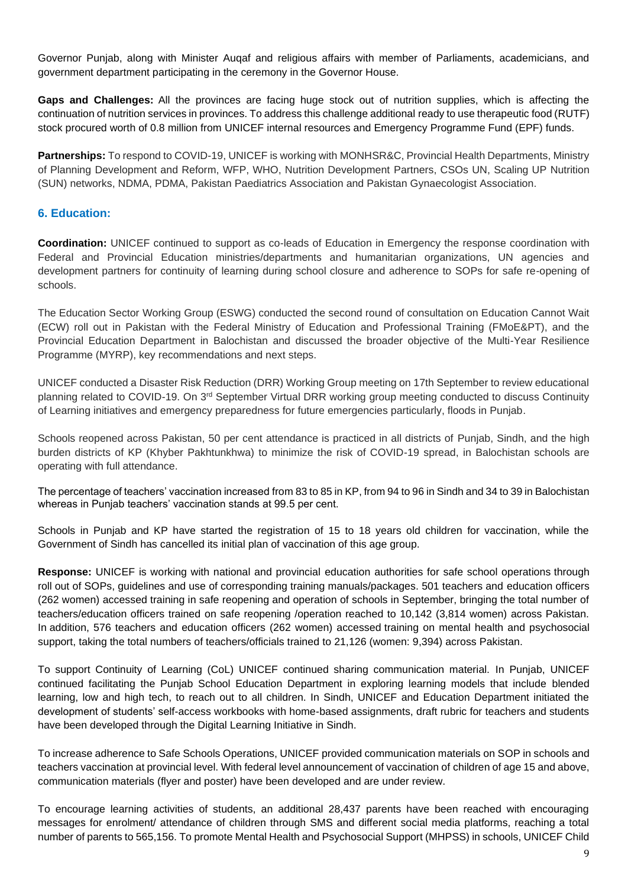Governor Punjab, along with Minister Auqaf and religious affairs with member of Parliaments, academicians, and government department participating in the ceremony in the Governor House.

**Gaps and Challenges:** All the provinces are facing huge stock out of nutrition supplies, which is affecting the continuation of nutrition services in provinces. To address this challenge additional ready to use therapeutic food (RUTF) stock procured worth of 0.8 million from UNICEF internal resources and Emergency Programme Fund (EPF) funds.

**Partnerships:** To respond to COVID-19, UNICEF is working with MONHSR&C, Provincial Health Departments, Ministry of Planning Development and Reform, WFP, WHO, Nutrition Development Partners, CSOs UN, Scaling UP Nutrition (SUN) networks, NDMA, PDMA, Pakistan Paediatrics Association and Pakistan Gynaecologist Association.

### **6. Education:**

**Coordination:** UNICEF continued to support as co-leads of Education in Emergency the response coordination with Federal and Provincial Education ministries/departments and humanitarian organizations, UN agencies and development partners for continuity of learning during school closure and adherence to SOPs for safe re-opening of schools.

The Education Sector Working Group (ESWG) conducted the second round of consultation on Education Cannot Wait (ECW) roll out in Pakistan with the Federal Ministry of Education and Professional Training (FMoE&PT), and the Provincial Education Department in Balochistan and discussed the broader objective of the Multi-Year Resilience Programme (MYRP), key recommendations and next steps.

UNICEF conducted a Disaster Risk Reduction (DRR) Working Group meeting on 17th September to review educational planning related to COVID-19. On 3<sup>rd</sup> September Virtual DRR working group meeting conducted to discuss Continuity of Learning initiatives and emergency preparedness for future emergencies particularly, floods in Punjab.

Schools reopened across Pakistan, 50 per cent attendance is practiced in all districts of Punjab, Sindh, and the high burden districts of KP (Khyber Pakhtunkhwa) to minimize the risk of COVID-19 spread, in Balochistan schools are operating with full attendance.

The percentage of teachers' vaccination increased from 83 to 85 in KP, from 94 to 96 in Sindh and 34 to 39 in Balochistan whereas in Punjab teachers' vaccination stands at 99.5 per cent.

Schools in Punjab and KP have started the registration of 15 to 18 years old children for vaccination, while the Government of Sindh has cancelled its initial plan of vaccination of this age group.

**Response:** UNICEF is working with national and provincial education authorities for safe school operations through roll out of SOPs, guidelines and use of corresponding training manuals/packages. 501 teachers and education officers (262 women) accessed training in safe reopening and operation of schools in September, bringing the total number of teachers/education officers trained on safe reopening /operation reached to 10,142 (3,814 women) across Pakistan. In addition, 576 teachers and education officers (262 women) accessed training on mental health and psychosocial support, taking the total numbers of teachers/officials trained to 21,126 (women: 9,394) across Pakistan.

To support Continuity of Learning (CoL) UNICEF continued sharing communication material. In Punjab, UNICEF continued facilitating the Punjab School Education Department in exploring learning models that include blended learning, low and high tech, to reach out to all children. In Sindh, UNICEF and Education Department initiated the development of students' self-access workbooks with home-based assignments, draft rubric for teachers and students have been developed through the Digital Learning Initiative in Sindh.

To increase adherence to Safe Schools Operations, UNICEF provided communication materials on SOP in schools and teachers vaccination at provincial level. With federal level announcement of vaccination of children of age 15 and above, communication materials (flyer and poster) have been developed and are under review.

To encourage learning activities of students, an additional 28,437 parents have been reached with encouraging messages for enrolment/ attendance of children through SMS and different social media platforms, reaching a total number of parents to 565,156. To promote Mental Health and Psychosocial Support (MHPSS) in schools, UNICEF Child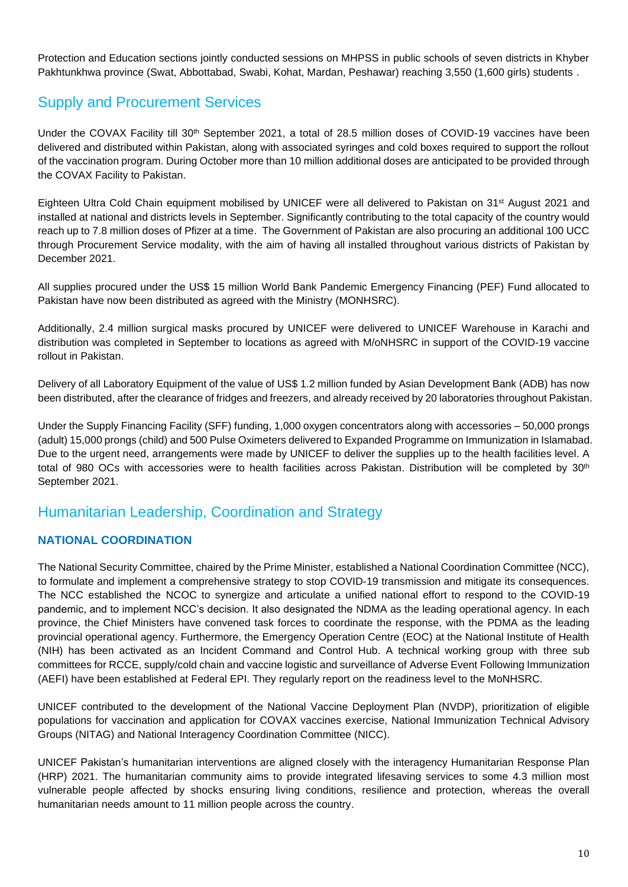Protection and Education sections jointly conducted sessions on MHPSS in public schools of seven districts in Khyber Pakhtunkhwa province (Swat, Abbottabad, Swabi, Kohat, Mardan, Peshawar) reaching 3,550 (1,600 girls) students .

# Supply and Procurement Services

Under the COVAX Facility till 30<sup>th</sup> September 2021, a total of 28.5 million doses of COVID-19 vaccines have been delivered and distributed within Pakistan, along with associated syringes and cold boxes required to support the rollout of the vaccination program. During October more than 10 million additional doses are anticipated to be provided through the COVAX Facility to Pakistan.

Eighteen Ultra Cold Chain equipment mobilised by UNICEF were all delivered to Pakistan on 31st August 2021 and installed at national and districts levels in September. Significantly contributing to the total capacity of the country would reach up to 7.8 million doses of Pfizer at a time. The Government of Pakistan are also procuring an additional 100 UCC through Procurement Service modality, with the aim of having all installed throughout various districts of Pakistan by December 2021.

All supplies procured under the US\$ 15 million World Bank Pandemic Emergency Financing (PEF) Fund allocated to Pakistan have now been distributed as agreed with the Ministry (MONHSRC).

Additionally, 2.4 million surgical masks procured by UNICEF were delivered to UNICEF Warehouse in Karachi and distribution was completed in September to locations as agreed with M/oNHSRC in support of the COVID-19 vaccine rollout in Pakistan.

Delivery of all Laboratory Equipment of the value of US\$ 1.2 million funded by Asian Development Bank (ADB) has now been distributed, after the clearance of fridges and freezers, and already received by 20 laboratories throughout Pakistan.

Under the Supply Financing Facility (SFF) funding, 1,000 oxygen concentrators along with accessories – 50,000 prongs (adult) 15,000 prongs (child) and 500 Pulse Oximeters delivered to Expanded Programme on Immunization in Islamabad. Due to the urgent need, arrangements were made by UNICEF to deliver the supplies up to the health facilities level. A total of 980 OCs with accessories were to health facilities across Pakistan. Distribution will be completed by 30<sup>th</sup> September 2021.

# Humanitarian Leadership, Coordination and Strategy

### **NATIONAL COORDINATION**

The National Security Committee, chaired by the Prime Minister, established a National Coordination Committee (NCC), to formulate and implement a comprehensive strategy to stop COVID-19 transmission and mitigate its consequences. The NCC established the NCOC to synergize and articulate a unified national effort to respond to the COVID-19 pandemic, and to implement NCC's decision. It also designated the NDMA as the leading operational agency. In each province, the Chief Ministers have convened task forces to coordinate the response, with the PDMA as the leading provincial operational agency. Furthermore, the Emergency Operation Centre (EOC) at the National Institute of Health (NIH) has been activated as an Incident Command and Control Hub. A technical working group with three sub committees for RCCE, supply/cold chain and vaccine logistic and surveillance of Adverse Event Following Immunization (AEFI) have been established at Federal EPI. They regularly report on the readiness level to the MoNHSRC.

UNICEF contributed to the development of the National Vaccine Deployment Plan (NVDP), prioritization of eligible populations for vaccination and application for COVAX vaccines exercise, National Immunization Technical Advisory Groups (NITAG) and National Interagency Coordination Committee (NICC).

UNICEF Pakistan's humanitarian interventions are aligned closely with the interagency Humanitarian Response Plan (HRP) 2021. The humanitarian community aims to provide integrated lifesaving services to some 4.3 million most vulnerable people affected by shocks ensuring living conditions, resilience and protection, whereas the overall humanitarian needs amount to 11 million people across the country.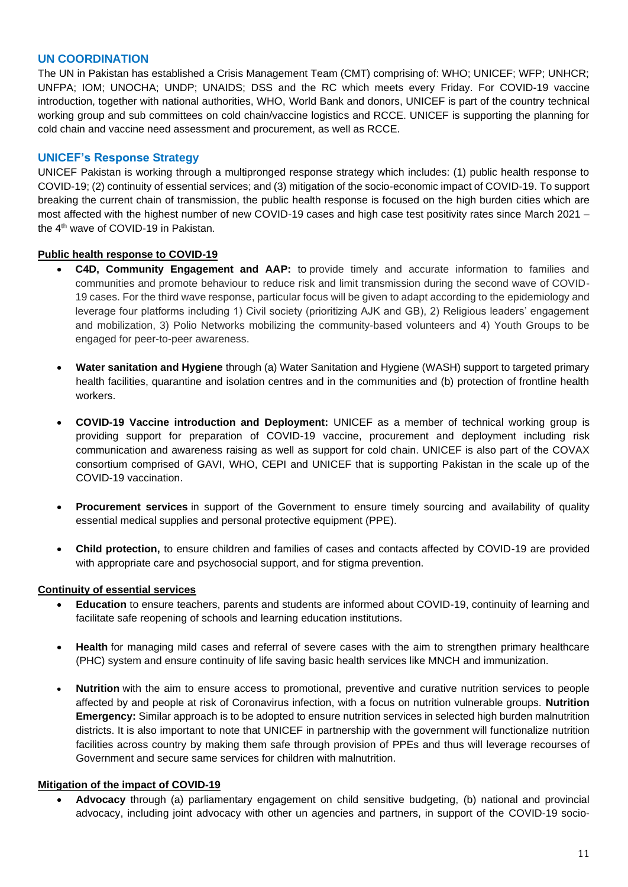#### **UN COORDINATION**

The UN in Pakistan has established a Crisis Management Team (CMT) comprising of: WHO; UNICEF; WFP; UNHCR; UNFPA; IOM; UNOCHA; UNDP; UNAIDS; DSS and the RC which meets every Friday. For COVID-19 vaccine introduction, together with national authorities, WHO, World Bank and donors, UNICEF is part of the country technical working group and sub committees on cold chain/vaccine logistics and RCCE. UNICEF is supporting the planning for cold chain and vaccine need assessment and procurement, as well as RCCE.

#### **UNICEF's Response Strategy**

UNICEF Pakistan is working through a multipronged response strategy which includes: (1) public health response to COVID-19; (2) continuity of essential services; and (3) mitigation of the socio-economic impact of COVID-19. To support breaking the current chain of transmission, the public health response is focused on the high burden cities which are most affected with the highest number of new COVID-19 cases and high case test positivity rates since March 2021 – the 4 th wave of COVID-19 in Pakistan.

#### **Public health response to COVID-19**

- **C4D, Community Engagement and AAP:** to provide timely and accurate information to families and communities and promote behaviour to reduce risk and limit transmission during the second wave of COVID-19 cases. For the third wave response, particular focus will be given to adapt according to the epidemiology and leverage four platforms including 1) Civil society (prioritizing AJK and GB), 2) Religious leaders' engagement and mobilization, 3) Polio Networks mobilizing the community-based volunteers and 4) Youth Groups to be engaged for peer-to-peer awareness.
- **Water sanitation and Hygiene** through (a) Water Sanitation and Hygiene (WASH) support to targeted primary health facilities, quarantine and isolation centres and in the communities and (b) protection of frontline health workers.
- **COVID-19 Vaccine introduction and Deployment:** UNICEF as a member of technical working group is providing support for preparation of COVID-19 vaccine, procurement and deployment including risk communication and awareness raising as well as support for cold chain. UNICEF is also part of the COVAX consortium comprised of GAVI, WHO, CEPI and UNICEF that is supporting Pakistan in the scale up of the COVID-19 vaccination.
- **Procurement services** in support of the Government to ensure timely sourcing and availability of quality essential medical supplies and personal protective equipment (PPE).
- **Child protection,** to ensure children and families of cases and contacts affected by COVID-19 are provided with appropriate care and psychosocial support, and for stigma prevention.

#### **Continuity of essential services**

- **Education** to ensure teachers, parents and students are informed about COVID-19, continuity of learning and facilitate safe reopening of schools and learning education institutions.
- **Health** for managing mild cases and referral of severe cases with the aim to strengthen primary healthcare (PHC) system and ensure continuity of life saving basic health services like MNCH and immunization.
- **Nutrition** with the aim to ensure access to promotional, preventive and curative nutrition services to people affected by and people at risk of Coronavirus infection, with a focus on nutrition vulnerable groups. **Nutrition Emergency:** Similar approach is to be adopted to ensure nutrition services in selected high burden malnutrition districts. It is also important to note that UNICEF in partnership with the government will functionalize nutrition facilities across country by making them safe through provision of PPEs and thus will leverage recourses of Government and secure same services for children with malnutrition.

#### **Mitigation of the impact of COVID-19**

• **Advocacy** through (a) parliamentary engagement on child sensitive budgeting, (b) national and provincial advocacy, including joint advocacy with other un agencies and partners, in support of the COVID-19 socio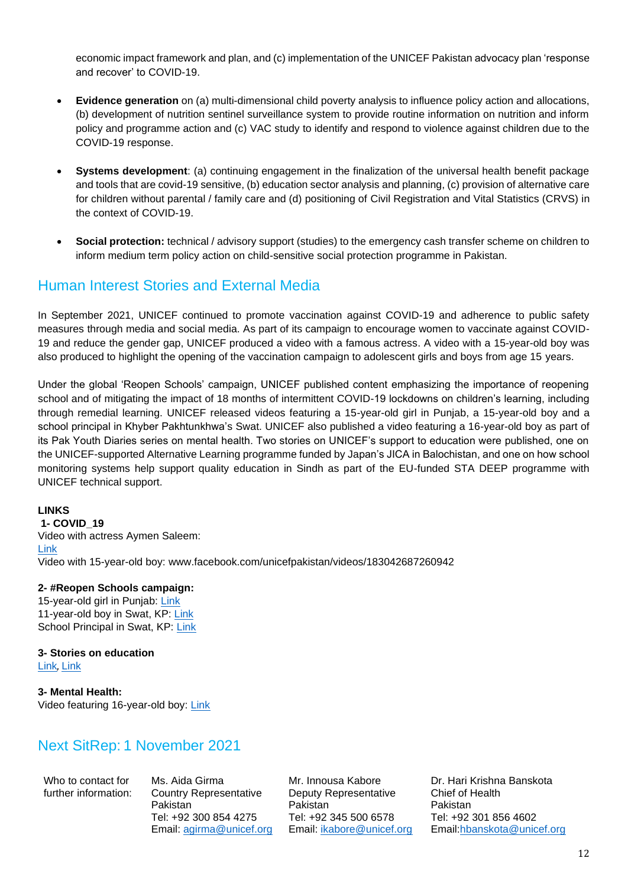economic impact framework and plan, and (c) implementation of the UNICEF Pakistan advocacy plan 'response and recover' to COVID-19.

- **Evidence generation** on (a) multi-dimensional child poverty analysis to influence policy action and allocations, (b) development of nutrition sentinel surveillance system to provide routine information on nutrition and inform policy and programme action and (c) VAC study to identify and respond to violence against children due to the COVID-19 response.
- **Systems development**: (a) continuing engagement in the finalization of the universal health benefit package and tools that are covid-19 sensitive, (b) education sector analysis and planning, (c) provision of alternative care for children without parental / family care and (d) positioning of Civil Registration and Vital Statistics (CRVS) in the context of COVID-19.
- **Social protection:** technical / advisory support (studies) to the emergency cash transfer scheme on children to inform medium term policy action on child-sensitive social protection programme in Pakistan.

## Human Interest Stories and External Media

In September 2021, UNICEF continued to promote vaccination against COVID-19 and adherence to public safety measures through media and social media. As part of its campaign to encourage women to vaccinate against COVID-19 and reduce the gender gap, UNICEF produced a video with a famous actress. A video with a 15-year-old boy was also produced to highlight the opening of the vaccination campaign to adolescent girls and boys from age 15 years.

Under the global 'Reopen Schools' campaign, UNICEF published content emphasizing the importance of reopening school and of mitigating the impact of 18 months of intermittent COVID-19 lockdowns on children's learning, including through remedial learning. UNICEF released videos featuring a 15-year-old girl in Punjab, a 15-year-old boy and a school principal in Khyber Pakhtunkhwa's Swat. UNICEF also published a video featuring a 16-year-old boy as part of its Pak Youth Diaries series on mental health. Two stories on UNICEF's support to education were published, one on the UNICEF-supported Alternative Learning programme funded by Japan's JICA in Balochistan, and one on how school monitoring systems help support quality education in Sindh as part of the EU-funded STA DEEP programme with UNICEF technical support.

#### **LINKS**

**1- COVID\_19** Video with actress Aymen Saleem: [Link](http://www.facebook.com/watch/?v=171557855120075) Video with 15-year-old boy: www.facebook.com/unicefpakistan/videos/183042687260942

#### **2- #Reopen Schools campaign:**

15-year-old girl in Punjab: [Link](https://www.facebook.com/unicefpakistan/videos/567350384316266) 11-year-old boy in Swat, KP: [Link](https://unicef.sharepoint.com/teams/PAK-Collab/Cross%20Cutting/COVID-19/Weekly-fortnightly%20Sitreps/www.facebook.com/unicefpakistan/videos/594428181911864) School Principal in Swat, KP: [Link](https://unicef.sharepoint.com/teams/PAK-Collab/Cross%20Cutting/COVID-19/Weekly-fortnightly%20Sitreps/www.facebook.com/unicefpakistan/videos/397480585219355)

#### **3- Stories on education** [Link](https://www.unicef.org/pakistan/stories/how-shahnaz-became-mohammed-saleem-so-she-could-study?fbclid=IwAR3fxwFDawQry1d2Np_xgiSMl-lNoEUVGowQvT7lC08PEPOsD1qmuojFQG8), [Link](http://www.unicef.org/pakistan/stories/mobile-app-helps-reduce-school-dropout-pakistans-sindh-province?fbclid=IwAR2T35qJ431U7RZAzNJ-5M1IQyVFGXTCkWEJAeUKtvvG_9Sgc3g1E_7sil0)

**3- Mental Health:** Video featuring 16-year-old boy: [Link](http://www.facebook.com/unicefpakistan/videos/1903811143124409)

## Next SitRep: 1 November 2021

Who to contact for further information: Ms. Aida Girma Country Representative Pakistan Tel: +92 300 854 4275 Email: [agirma@unicef.org](mailto:agirma@unicef.org)

Mr. Innousa Kabore Deputy Representative Pakistan Tel: +92 345 500 6578 Email: *ikabore@unicef.org* 

Dr. Hari Krishna Banskota Chief of Health Pakistan Tel: +92 301 856 4602 Email[:hbanskota@unicef.org](mailto:hbanskota@unicef.org)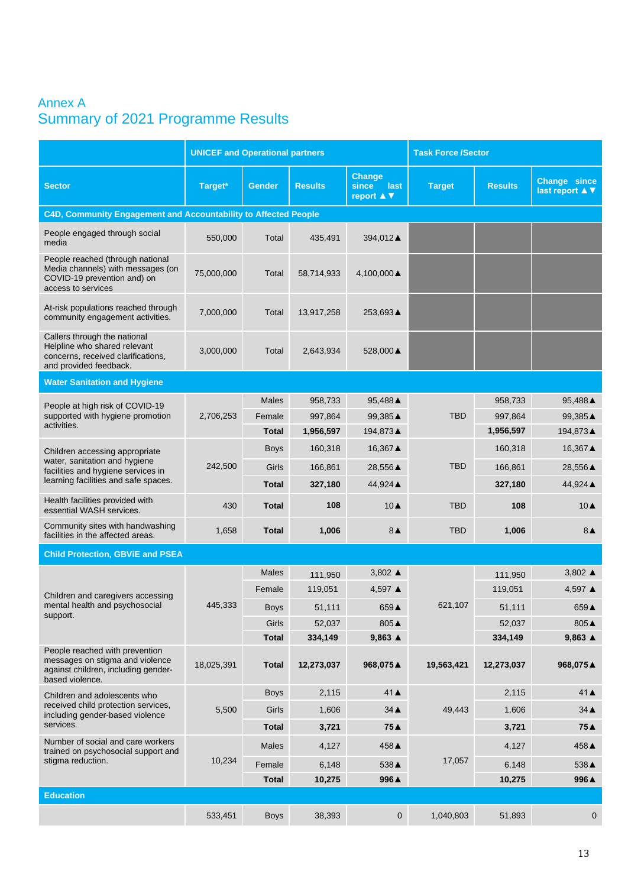# Annex A Summary of 2021 Programme Results

|                                                                                                                              | <b>UNICEF and Operational partners</b> |               |                |                                                                       | <b>Task Force /Sector</b> |                                                                                                  |                                               |
|------------------------------------------------------------------------------------------------------------------------------|----------------------------------------|---------------|----------------|-----------------------------------------------------------------------|---------------------------|--------------------------------------------------------------------------------------------------|-----------------------------------------------|
| <b>Sector</b>                                                                                                                | Target*                                | <b>Gender</b> | <b>Results</b> | Change<br>since<br>last<br>report $\blacktriangle \blacktriangledown$ | <b>Target</b>             | <b>Results</b>                                                                                   | <b>Change since</b><br>last report <b>A</b> ▼ |
| C4D, Community Engagement and Accountability to Affected People                                                              |                                        |               |                |                                                                       |                           |                                                                                                  |                                               |
| People engaged through social<br>media                                                                                       | 550,000                                | Total         | 435,491        | 394,012▲                                                              |                           |                                                                                                  |                                               |
| People reached (through national<br>Media channels) with messages (on<br>COVID-19 prevention and) on<br>access to services   | 75,000,000                             | Total         | 58,714,933     | 4,100,000 ▲                                                           |                           |                                                                                                  |                                               |
| At-risk populations reached through<br>community engagement activities.                                                      | 7,000,000                              | Total         | 13,917,258     | 253,693▲                                                              |                           |                                                                                                  |                                               |
| Callers through the national<br>Helpline who shared relevant<br>concerns, received clarifications,<br>and provided feedback. | 3,000,000                              | Total         | 2,643,934      | 528,000 ▲                                                             |                           |                                                                                                  |                                               |
| <b>Water Sanitation and Hygiene</b>                                                                                          |                                        |               |                |                                                                       |                           |                                                                                                  |                                               |
| People at high risk of COVID-19                                                                                              |                                        | Males         | 958,733        | 95,488 ▲                                                              |                           | 958,733                                                                                          | 95,488▲                                       |
| supported with hygiene promotion                                                                                             | 2,706,253                              | Female        | 997,864        | 99,385▲                                                               | <b>TBD</b>                | 997,864                                                                                          | 99,385▲                                       |
| activities.                                                                                                                  |                                        | <b>Total</b>  | 1,956,597      | 194,873▲                                                              |                           | 1,956,597                                                                                        | 194,873▲                                      |
| Children accessing appropriate                                                                                               |                                        | <b>Boys</b>   | 160,318        | 16,367 ▲                                                              | <b>TBD</b>                | 160,318                                                                                          | 16,367▲                                       |
| water, sanitation and hygiene<br>facilities and hygiene services in                                                          | 242,500                                | Girls         | 166,861        | 28,556 ▲                                                              |                           | 166,861                                                                                          | 28,556▲                                       |
| learning facilities and safe spaces.                                                                                         |                                        | <b>Total</b>  | 327,180        | 44,924 ▲                                                              |                           | 327,180                                                                                          | 44,924 ▲                                      |
| Health facilities provided with<br>essential WASH services.                                                                  | 430                                    | <b>Total</b>  | 108            | $10\blacktriangle$                                                    | <b>TBD</b>                | 108                                                                                              | $10\blacktriangle$                            |
| Community sites with handwashing<br>facilities in the affected areas.                                                        | 1,658                                  | <b>Total</b>  | 1,006          | $8\blacktriangle$                                                     | <b>TBD</b>                | 1,006                                                                                            | $8\blacktriangle$                             |
| <b>Child Protection, GBViE and PSEA</b>                                                                                      |                                        |               |                |                                                                       |                           |                                                                                                  |                                               |
|                                                                                                                              |                                        | <b>Males</b>  | 111,950        | 3,802 $\triangle$                                                     |                           | 111,950                                                                                          | 3,802 $\triangle$                             |
| Children and caregivers accessing                                                                                            |                                        | Female        | 119,051        | 4,597 ▲                                                               |                           | 119,051                                                                                          | 4,597 ▲                                       |
| mental health and psychosocial                                                                                               | 445,333                                | <b>Boys</b>   | 51,111         | 659▲                                                                  | 621,107                   | 51,111<br>52,037<br>334,149<br>12,273,037<br>2,115<br>1,606<br>3,721<br>4,127<br>6,148<br>10,275 | 659▲                                          |
| support.                                                                                                                     |                                        | Girls         | 52,037         | $805\triangle$                                                        |                           |                                                                                                  | 805▲                                          |
|                                                                                                                              |                                        | <b>Total</b>  | 334,149        | $9,863 \triangle$                                                     |                           |                                                                                                  | $9,863 \triangle$                             |
| People reached with prevention<br>messages on stigma and violence<br>against children, including gender-<br>based violence.  | 18,025,391                             | <b>Total</b>  | 12,273,037     | 968,075▲                                                              | 19,563,421                |                                                                                                  | 968,075▲                                      |
| Children and adolescents who                                                                                                 |                                        | <b>Boys</b>   | 2,115          | $41 \triangle$                                                        |                           |                                                                                                  | $41 \triangle$                                |
| received child protection services,<br>including gender-based violence                                                       | 5,500                                  | Girls         | 1,606          | $34 \triangle$                                                        | 49,443                    |                                                                                                  | $34 \triangle$                                |
| services.                                                                                                                    |                                        | <b>Total</b>  | 3,721          | 75▲                                                                   |                           |                                                                                                  | 75A                                           |
| Number of social and care workers<br>trained on psychosocial support and                                                     |                                        | <b>Males</b>  | 4,127          | 458▲                                                                  | 17,057                    |                                                                                                  | 458▲                                          |
| stigma reduction.                                                                                                            | 10,234                                 | Female        | 6,148          | 538▲                                                                  |                           |                                                                                                  | 538▲                                          |
|                                                                                                                              |                                        | Total         | 10,275         | 996▲                                                                  |                           |                                                                                                  | 996▲                                          |
| <b>Education</b>                                                                                                             |                                        |               |                |                                                                       |                           |                                                                                                  |                                               |
|                                                                                                                              | 533,451                                | <b>Boys</b>   | 38,393         | $\overline{0}$                                                        | 1,040,803                 | 51,893                                                                                           | $\mathbf 0$                                   |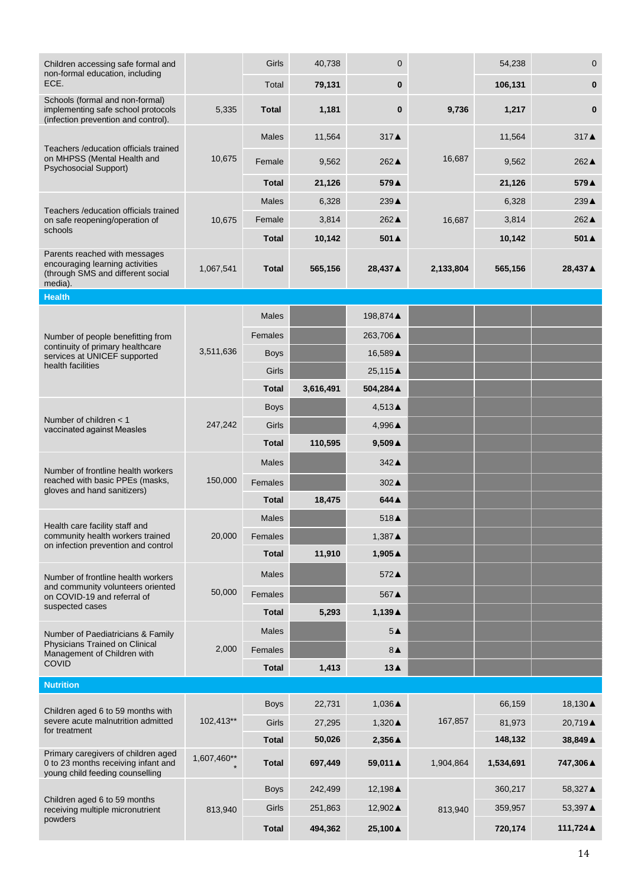| Children accessing safe formal and                                                                               |             | Girls        | 40,738    | $\mathbf 0$       |           | 54,238    | $\mathbf 0$     |
|------------------------------------------------------------------------------------------------------------------|-------------|--------------|-----------|-------------------|-----------|-----------|-----------------|
| non-formal education, including<br>ECE.                                                                          |             | Total        | 79,131    | 0                 |           | 106,131   | $\mathbf{0}$    |
| Schools (formal and non-formal)<br>implementing safe school protocols<br>(infection prevention and control).     | 5,335       | <b>Total</b> | 1,181     | 0                 | 9,736     | 1,217     | $\bf{0}$        |
|                                                                                                                  |             | <b>Males</b> | 11,564    | 317▲              |           | 11,564    | 317▲            |
| Teachers / education officials trained<br>on MHPSS (Mental Health and<br><b>Psychosocial Support)</b>            | 10,675      | Female       | 9,562     | 262▲              | 16,687    | 9,562     | $262 \triangle$ |
|                                                                                                                  |             | <b>Total</b> | 21,126    | 579▲              |           | 21,126    | 579▲            |
|                                                                                                                  |             | <b>Males</b> | 6,328     | 239▲              |           | 6,328     | 239▲            |
| Teachers / education officials trained<br>on safe reopening/operation of                                         | 10,675      | Female       | 3,814     | 262▲              | 16,687    | 3,814     | 262▲            |
| schools                                                                                                          |             | <b>Total</b> | 10,142    | 501▲              |           | 10,142    | 501A            |
| Parents reached with messages<br>encouraging learning activities<br>(through SMS and different social<br>media). | 1,067,541   | <b>Total</b> | 565,156   | 28,437 ▲          | 2,133,804 | 565,156   | 28,437 ▲        |
| <b>Health</b>                                                                                                    |             |              |           |                   |           |           |                 |
|                                                                                                                  |             | <b>Males</b> |           | 198,874 ▲         |           |           |                 |
| Number of people benefitting from                                                                                |             | Females      |           | 263,706▲          |           |           |                 |
| continuity of primary healthcare<br>services at UNICEF supported                                                 | 3,511,636   | <b>Boys</b>  |           | 16,589 ▲          |           |           |                 |
| health facilities                                                                                                |             | Girls        |           | 25,115▲           |           |           |                 |
|                                                                                                                  |             | <b>Total</b> | 3,616,491 | 504,284 ▲         |           |           |                 |
|                                                                                                                  | 247,242     | <b>Boys</b>  |           | 4,513▲            |           |           |                 |
| Number of children < 1<br>vaccinated against Measles                                                             |             | Girls        |           | 4,996▲            |           |           |                 |
|                                                                                                                  |             | <b>Total</b> | 110,595   | $9,509 \triangle$ |           |           |                 |
| Number of frontline health workers                                                                               |             | <b>Males</b> |           | 342▲              |           |           |                 |
| reached with basic PPEs (masks,<br>gloves and hand sanitizers)                                                   | 150,000     | Females      |           | 302▲              |           |           |                 |
|                                                                                                                  |             | <b>Total</b> | 18,475    | 644 ▲             |           |           |                 |
| Health care facility staff and                                                                                   |             | <b>Males</b> |           | 518▲              |           |           |                 |
| community health workers trained<br>on infection prevention and control                                          | 20,000      | Females      |           | $1,387 \triangle$ |           |           |                 |
|                                                                                                                  |             | <b>Total</b> | 11,910    | 1,905▲            |           |           |                 |
| Number of frontline health workers                                                                               |             | <b>Males</b> |           | 572▲              |           |           |                 |
| and community volunteers oriented<br>on COVID-19 and referral of                                                 | 50,000      | Females      |           | 567▲              |           |           |                 |
| suspected cases                                                                                                  |             | <b>Total</b> | 5,293     | 1,139▲            |           |           |                 |
| Number of Paediatricians & Family                                                                                |             | Males        |           | 5A                |           |           |                 |
| Physicians Trained on Clinical<br>Management of Children with                                                    | 2,000       | Females      |           | $8\blacktriangle$ |           |           |                 |
| <b>COVID</b>                                                                                                     |             | <b>Total</b> | 1,413     | 13▲               |           |           |                 |
| <b>Nutrition</b>                                                                                                 |             |              |           |                   |           |           |                 |
| Children aged 6 to 59 months with                                                                                |             | <b>Boys</b>  | 22,731    | 1,036▲            |           | 66,159    | 18,130▲         |
| severe acute malnutrition admitted<br>for treatment                                                              | 102,413**   | Girls        | 27,295    | 1,320 ▲           | 167,857   | 81,973    | 20,719▲         |
|                                                                                                                  |             | <b>Total</b> | 50,026    | 2,356 ▲           |           | 148,132   | 38,849 ▲        |
| Primary caregivers of children aged<br>0 to 23 months receiving infant and<br>young child feeding counselling    | 1,607,460** | <b>Total</b> | 697,449   | 59,011 ▲          | 1,904,864 | 1,534,691 | 747,306 ▲       |
| Children aged 6 to 59 months                                                                                     |             | <b>Boys</b>  | 242,499   | 12,198▲           |           | 360,217   | 58,327 ▲        |
| receiving multiple micronutrient                                                                                 | 813,940     | Girls        | 251,863   | 12,902▲           | 813,940   | 359,957   | 53,397 ▲        |
| powders                                                                                                          |             | <b>Total</b> | 494,362   | 25,100 ▲          |           | 720,174   | 111,724 ▲       |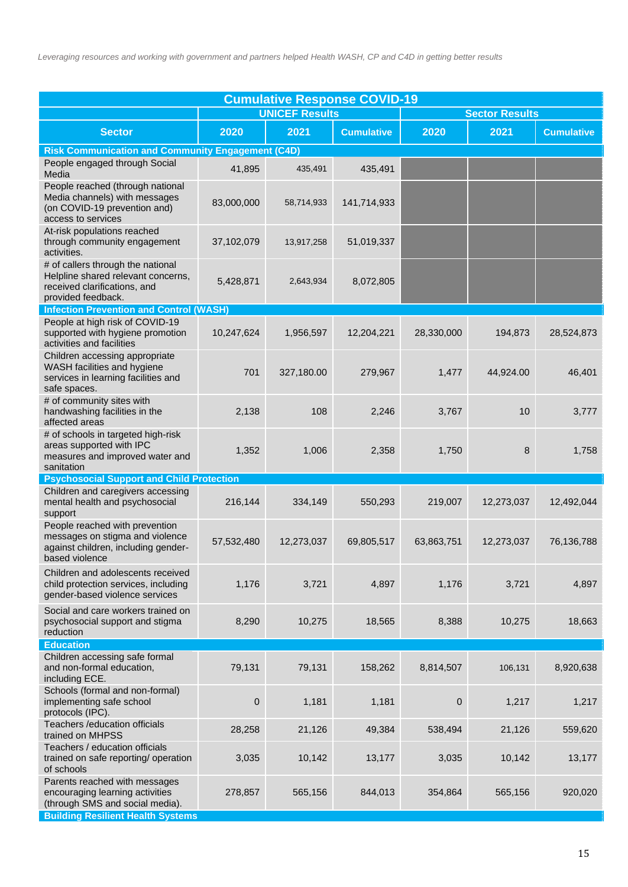| <b>Cumulative Response COVID-19</b>                                                                                           |             |                       |                   |                       |            |                   |  |  |
|-------------------------------------------------------------------------------------------------------------------------------|-------------|-----------------------|-------------------|-----------------------|------------|-------------------|--|--|
|                                                                                                                               |             | <b>UNICEF Results</b> |                   | <b>Sector Results</b> |            |                   |  |  |
| <b>Sector</b>                                                                                                                 | 2020        | 2021                  | <b>Cumulative</b> | 2020                  | 2021       | <b>Cumulative</b> |  |  |
| <b>Risk Communication and Community Engagement (C4D)</b>                                                                      |             |                       |                   |                       |            |                   |  |  |
| People engaged through Social<br>Media                                                                                        | 41,895      | 435,491               | 435,491           |                       |            |                   |  |  |
| People reached (through national<br>Media channels) with messages<br>(on COVID-19 prevention and)<br>access to services       | 83,000,000  | 58,714,933            | 141,714,933       |                       |            |                   |  |  |
| At-risk populations reached<br>through community engagement<br>activities.                                                    | 37,102,079  | 13,917,258            | 51,019,337        |                       |            |                   |  |  |
| # of callers through the national<br>Helpline shared relevant concerns,<br>received clarifications, and<br>provided feedback. | 5,428,871   | 2,643,934             | 8,072,805         |                       |            |                   |  |  |
| <b>Infection Prevention and Control (WASH)</b>                                                                                |             |                       |                   |                       |            |                   |  |  |
| People at high risk of COVID-19<br>supported with hygiene promotion<br>activities and facilities                              | 10,247,624  | 1,956,597             | 12,204,221        | 28,330,000            | 194,873    | 28,524,873        |  |  |
| Children accessing appropriate<br>WASH facilities and hygiene<br>services in learning facilities and<br>safe spaces.          | 701         | 327,180.00            | 279,967           | 1,477                 | 44,924.00  | 46,401            |  |  |
| # of community sites with<br>handwashing facilities in the<br>affected areas                                                  | 2,138       | 108                   | 2,246             | 3,767                 | 10         | 3,777             |  |  |
| # of schools in targeted high-risk<br>areas supported with IPC<br>measures and improved water and<br>sanitation               | 1,352       | 1,006                 | 2,358             | 1,750                 | 8          | 1,758             |  |  |
| <b>Psychosocial Support and Child Protection</b>                                                                              |             |                       |                   |                       |            |                   |  |  |
| Children and caregivers accessing<br>mental health and psychosocial<br>support                                                | 216,144     | 334,149               | 550,293           | 219,007               | 12,273,037 | 12,492,044        |  |  |
| People reached with prevention<br>messages on stigma and violence<br>against children, including gender-<br>based violence    | 57,532,480  | 12,273,037            | 69,805,517        | 63,863,751            | 12,273,037 | 76,136,788        |  |  |
| Children and adolescents received<br>child protection services, including<br>gender-based violence services                   | 1,176       | 3,721                 | 4,897             | 1,176                 | 3,721      | 4,897             |  |  |
| Social and care workers trained on<br>psychosocial support and stigma<br>reduction                                            | 8,290       | 10,275                | 18,565            | 8,388                 | 10,275     | 18,663            |  |  |
| <b>Education</b>                                                                                                              |             |                       |                   |                       |            |                   |  |  |
| Children accessing safe formal<br>and non-formal education,<br>including ECE.                                                 | 79,131      | 79,131                | 158,262           | 8,814,507             | 106,131    | 8,920,638         |  |  |
| Schools (formal and non-formal)<br>implementing safe school<br>protocols (IPC).                                               | $\mathbf 0$ | 1,181                 | 1,181             | 0                     | 1,217      | 1,217             |  |  |
| Teachers / education officials<br>trained on MHPSS                                                                            | 28,258      | 21,126                | 49,384            | 538,494               | 21,126     | 559,620           |  |  |
| Teachers / education officials<br>trained on safe reporting/ operation<br>of schools                                          | 3,035       | 10,142                | 13,177            | 3,035                 | 10,142     | 13,177            |  |  |
| Parents reached with messages<br>encouraging learning activities<br>(through SMS and social media).                           | 278,857     | 565,156               | 844,013           | 354,864               | 565,156    | 920,020           |  |  |
| <b>Building Resilient Health Systems</b>                                                                                      |             |                       |                   |                       |            |                   |  |  |